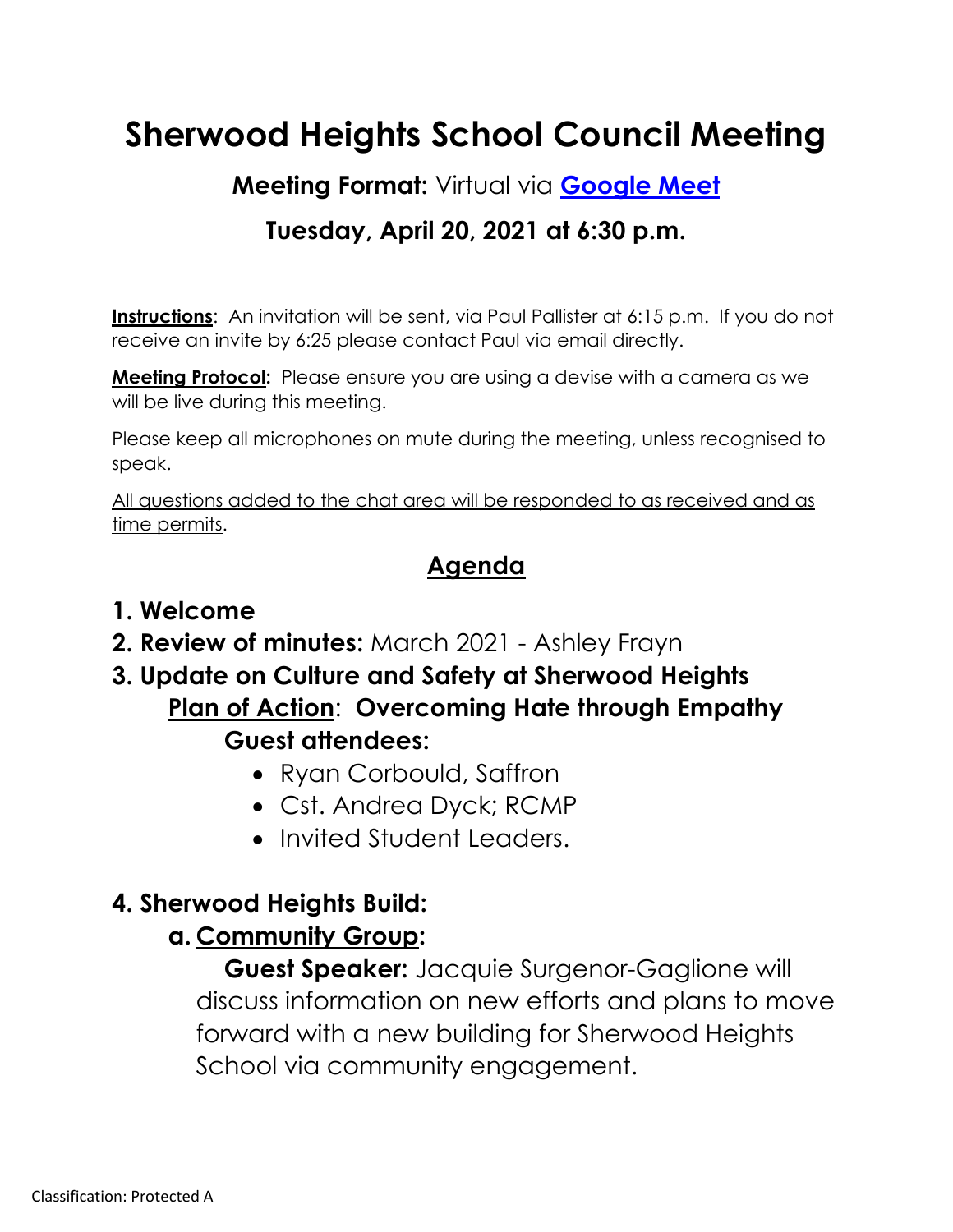# **Sherwood Heights School Council Meeting**

**Meeting Format:** Virtual via **[Google Meet](https://meet.google.com/)**

### **Tuesday, April 20, 2021 at 6:30 p.m.**

**Instructions:** An invitation will be sent, via Paul Pallister at 6:15 p.m. If you do not receive an invite by 6:25 please contact Paul via email directly.

**Meeting Protocol:** Please ensure you are using a devise with a camera as we will be live during this meeting.

Please keep all microphones on mute during the meeting, unless recognised to speak.

All questions added to the chat area will be responded to as received and as time permits.

#### **Agenda**

#### **1. Welcome**

- **2. Review of minutes:** March 2021 Ashley Frayn
- **3. Update on Culture and Safety at Sherwood Heights Plan of Action**: **Overcoming Hate through Empathy Guest attendees:**
	- Ryan Corbould, Saffron
	- Cst. Andrea Dyck; RCMP
	- Invited Student Leaders.

### **4. Sherwood Heights Build:**

### **a. Community Group:**

**Guest Speaker:** Jacquie Surgenor-Gaglione will discuss information on new efforts and plans to move forward with a new building for Sherwood Heights School via community engagement.